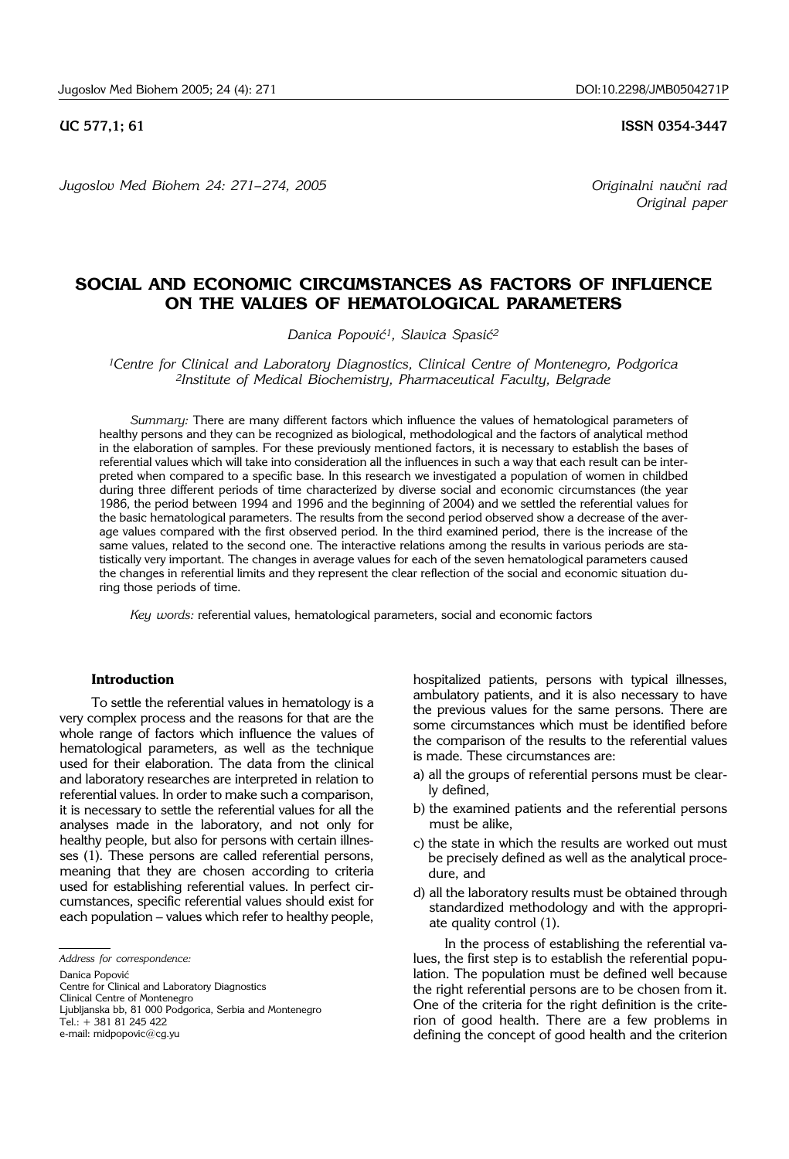*Jugoslov Med Biohem 24: 271– 274, 2005 Originalni nau~ni rad* 

**UC 577,1; 61 ISSN 0354-3447**

*Original paper*

# **SOCIAL AND ECONOMIC CIRCUMSTANCES AS FACTORS OF INFLUENCE ON THE VALUES OF HEMATOLOGICAL PARAMETERS**

*Danica Popović<sup>1</sup>, Slavica Spasić<sup>2</sup>* 

*1Centre for Clinical and Laboratory Diagnostics, Clinical Centre of Montenegro, Podgorica 2Institute of Medical Biochemistry, Pharmaceutical Faculty, Belgrade*

*Summary:* There are many different factors which influence the values of hematological parameters of healthy persons and they can be recognized as biological, methodological and the factors of analytical method in the elaboration of samples. For these previously mentioned factors, it is necessary to establish the bases of referential values which will take into consideration all the influences in such a way that each result can be interpreted when compared to a specific base. In this research we investigated a population of women in childbed during three different periods of time characterized by diverse social and economic circumstances (the year 1986, the period between 1994 and 1996 and the beginning of 2004) and we settled the referential values for the basic hematological parameters. The results from the second period observed show a decrease of the average values compared with the first observed period. In the third examined period, there is the increase of the same values, related to the second one. The interactive relations among the results in various periods are statistically very important. The changes in average values for each of the seven hematological parameters caused the changes in referential limits and they represent the clear reflection of the social and economic situation during those periods of time.

*Key words:* referential values, hematological parameters, social and economic factors

#### **Introduction**

To settle the referential values in hematology is a very complex process and the reasons for that are the whole range of factors which influence the values of hematological parameters, as well as the technique used for their elaboration. The data from the clinical and laboratory researches are interpreted in relation to referential values. In order to make such a comparison, it is necessary to settle the referential values for all the analyses made in the laboratory, and not only for healthy people, but also for persons with certain illnesses (1). These persons are called referential persons, meaning that they are chosen according to criteria used for establishing referential values. In perfect circumstances, specific referential values should exist for each population - values which refer to healthy people,

Danica Popović

Centre for Clinical and Laboratory Diagnostics Clinical Centre of Montenegro

Ljubljanska bb, 81 000 Podgorica, Serbia and Montenegro Tel.: + 381 81 245 422

e-mail: midpopovic@cg.yu

hospitalized patients, persons with typical illnesses, ambulatory patients, and it is also necessary to have the previous values for the same persons. There are some circumstances which must be identified before the comparison of the results to the referential values is made. These circumstances are:

- a) all the groups of referential persons must be clearly defined,
- b) the examined patients and the referential persons must be alike,
- c) the state in which the results are worked out must be precisely defined as well as the analytical procedure, and
- d) all the laboratory results must be obtained through standardized methodology and with the appropriate quality control (1).

In the process of establishing the referential values, the first step is to establish the referential population. The population must be defined well because the right referential persons are to be chosen from it. One of the criteria for the right definition is the criterion of good health. There are a few problems in defining the concept of good health and the criterion

*Address for correspondence:*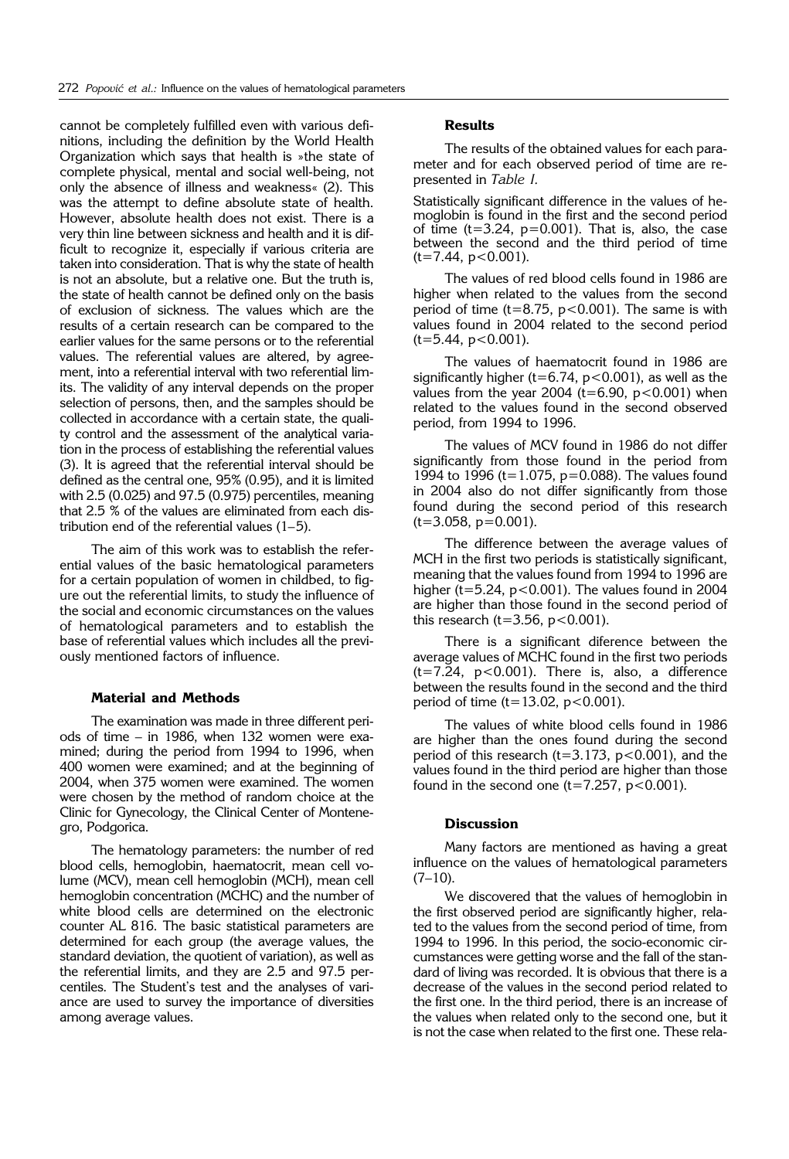cannot be completely fulfilled even with various definitions, including the definition by the World Health Organization which says that health is »the state of complete physical, mental and social well-being, not only the absence of illness and weakness« (2). This was the attempt to define absolute state of health. However, absolute health does not exist. There is a very thin line between sickness and health and it is difficult to recognize it, especially if various criteria are taken into consideration. That is why the state of health is not an absolute, but a relative one. But the truth is, the state of health cannot be defined only on the basis of exclusion of sickness. The values which are the results of a certain research can be compared to the earlier values for the same persons or to the referential values. The referential values are altered, by agreement, into a referential interval with two referential limits. The validity of any interval depends on the proper selection of persons, then, and the samples should be collected in accordance with a certain state, the quality control and the assessment of the analytical variation in the process of establishing the referential values (3). It is agreed that the referential interval should be defined as the central one, 95% (0.95), and it is limited with 2.5 (0.025) and 97.5 (0.975) percentiles, meaning that 2.5 % of the values are eliminated from each distribution end of the referential values  $(1-5)$ .

The aim of this work was to establish the referential values of the basic hematological parameters for a certain population of women in childbed, to figure out the referential limits, to study the influence of the social and economic circumstances on the values of hematological parameters and to establish the base of referential values which includes all the previously mentioned factors of influence.

#### **Material and Methods**

The examination was made in three different periods of time  $-$  in 1986, when 132 women were examined; during the period from 1994 to 1996, when 400 women were examined; and at the beginning of 2004, when 375 women were examined. The women were chosen by the method of random choice at the Clinic for Gynecology, the Clinical Center of Montenegro, Podgorica.

The hematology parameters: the number of red blood cells, hemoglobin, haematocrit, mean cell volume (MCV), mean cell hemoglobin (MCH), mean cell hemoglobin concentration (MCHC) and the number of white blood cells are determined on the electronic counter AL 816. The basic statistical parameters are determined for each group (the average values, the standard deviation, the quotient of variation), as well as the referential limits, and they are 2.5 and 97.5 percentiles. The Student's test and the analyses of variance are used to survey the importance of diversities among average values.

#### **Results**

The results of the obtained values for each parameter and for each observed period of time are represented in *Table I.*

Statistically significant difference in the values of hemoglobin is found in the first and the second period of time  $(t=3.24, p=0.001)$ . That is, also, the case between the second and the third period of time  $(t=7.44, p<0.001)$ .

The values of red blood cells found in 1986 are higher when related to the values from the second period of time (t=8.75,  $p < 0.001$ ). The same is with values found in 2004 related to the second period  $(t=5.44, p<0.001)$ .

The values of haematocrit found in 1986 are significantly higher (t=6.74,  $p < 0.001$ ), as well as the values from the year 2004 ( $t=6.90$ ,  $p<0.001$ ) when related to the values found in the second observed period, from 1994 to 1996.

The values of MCV found in 1986 do not differ significantly from those found in the period from 1994 to 1996 (t=1.075, p=0.088). The values found in 2004 also do not differ significantly from those found during the second period of this research  $(t=3.058, p=0.001)$ .

The difference between the average values of MCH in the first two periods is statistically significant, meaning that the values found from 1994 to 1996 are higher ( $t=5.24$ ,  $p<0.001$ ). The values found in 2004 are higher than those found in the second period of this research (t=3.56,  $p < 0.001$ ).

There is a significant diference between the average values of MCHC found in the first two periods  $(t=7.24, p<0.001)$ . There is, also, a difference between the results found in the second and the third period of time  $(t=13.02, p<0.001)$ .

The values of white blood cells found in 1986 are higher than the ones found during the second period of this research (t=3.173,  $p < 0.001$ ), and the values found in the third period are higher than those found in the second one  $(t=7.257, p<0.001)$ .

# **Discussion**

Many factors are mentioned as having a great influence on the values of hematological parameters  $(7-10)$ .

We discovered that the values of hemoglobin in the first observed period are significantly higher, related to the values from the second period of time, from 1994 to 1996. In this period, the socio-economic circumstances were getting worse and the fall of the standard of living was recorded. It is obvious that there is a decrease of the values in the second period related to the first one. In the third period, there is an increase of the values when related only to the second one, but it is not the case when related to the first one. These rela-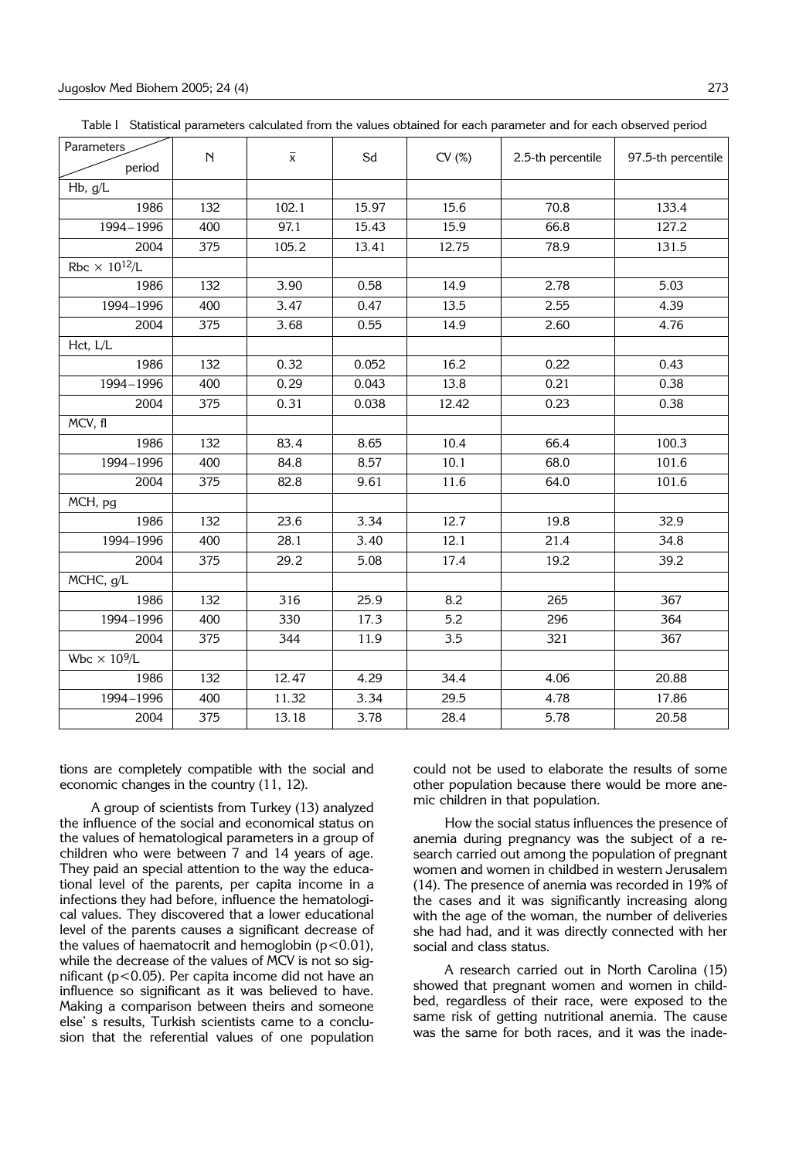| Table I Statistical parameters calculated from the values obtained for each parameter and for each observed period |  |
|--------------------------------------------------------------------------------------------------------------------|--|
|--------------------------------------------------------------------------------------------------------------------|--|

| Parameters<br>period             | N   | $\overline{\mathbf{x}}$ | Sd    | CV(%) | 2.5-th percentile | 97.5-th percentile |
|----------------------------------|-----|-------------------------|-------|-------|-------------------|--------------------|
| Hb, g/L                          |     |                         |       |       |                   |                    |
| 1986                             | 132 | 102.1                   | 15.97 | 15.6  | 70.8              | 133.4              |
| 1994-1996                        | 400 | 97.1                    | 15.43 | 15.9  | 66.8              | 127.2              |
| 2004                             | 375 | 105.2                   | 13.41 | 12.75 | 78.9              | 131.5              |
| Rbc $\times$ 10 <sup>12</sup> /L |     |                         |       |       |                   |                    |
| 1986                             | 132 | 3.90                    | 0.58  | 14.9  | 2.78              | 5.03               |
| 1994-1996                        | 400 | 3.47                    | 0.47  | 13.5  | 2.55              | 4.39               |
| 2004                             | 375 | 3.68                    | 0.55  | 14.9  | 2.60              | 4.76               |
| Hct, L/L                         |     |                         |       |       |                   |                    |
| 1986                             | 132 | 0.32                    | 0.052 | 16.2  | 0.22              | 0.43               |
| 1994-1996                        | 400 | 0.29                    | 0.043 | 13.8  | 0.21              | 0.38               |
| 2004                             | 375 | 0.31                    | 0.038 | 12.42 | 0.23              | 0.38               |
| MCV, fl                          |     |                         |       |       |                   |                    |
| 1986                             | 132 | 83.4                    | 8.65  | 10.4  | 66.4              | 100.3              |
| 1994-1996                        | 400 | 84.8                    | 8.57  | 10.1  | 68.0              | 101.6              |
| 2004                             | 375 | 82.8                    | 9.61  | 11.6  | 64.0              | 101.6              |
| MCH, pg                          |     |                         |       |       |                   |                    |
| 1986                             | 132 | 23.6                    | 3.34  | 12.7  | 19.8              | 32.9               |
| 1994-1996                        | 400 | 28.1                    | 3.40  | 12.1  | 21.4              | 34.8               |
| 2004                             | 375 | 29.2                    | 5.08  | 17.4  | 19.2              | 39.2               |
| MCHC, g/L                        |     |                         |       |       |                   |                    |
| 1986                             | 132 | 316                     | 25.9  | 8.2   | 265               | 367                |
| 1994-1996                        | 400 | 330                     | 17.3  | 5.2   | 296               | 364                |
| 2004                             | 375 | 344                     | 11.9  | 3.5   | 321               | 367                |
| Wbc $\times$ 10 <sup>9</sup> /L  |     |                         |       |       |                   |                    |
| 1986                             | 132 | 12.47                   | 4.29  | 34.4  | 4.06              | 20.88              |
| 1994-1996                        | 400 | 11.32                   | 3.34  | 29.5  | 4.78              | 17.86              |
| 2004                             | 375 | 13.18                   | 3.78  | 28.4  | 5.78              | 20.58              |

tions are completely compatible with the social and economic changes in the country (11, 12).

A group of scientists from Turkey (13) analyzed the influence of the social and economical status on the values of hematological parameters in a group of children who were between 7 and 14 years of age. They paid an special attention to the way the educational level of the parents, per capita income in a infections they had before, influence the hematological values. They discovered that a lower educational level of the parents causes a significant decrease of the values of haematocrit and hemoglobin  $(p<0.01)$ , while the decrease of the values of MCV is not so significant (p<0.05). Per capita income did not have an influence so significant as it was believed to have. Making a comparison between theirs and someone else' s results, Turkish scientists came to a conclusion that the referential values of one population

could not be used to elaborate the results of some other population because there would be more anemic children in that population.

How the social status influences the presence of anemia during pregnancy was the subject of a research carried out among the population of pregnant women and women in childbed in western Jerusalem (14). The presence of anemia was recorded in 19% of the cases and it was significantly increasing along with the age of the woman, the number of deliveries she had had, and it was directly connected with her social and class status.

A research carried out in North Carolina (15) showed that pregnant women and women in childbed, regardless of their race, were exposed to the same risk of getting nutritional anemia. The cause was the same for both races, and it was the inade